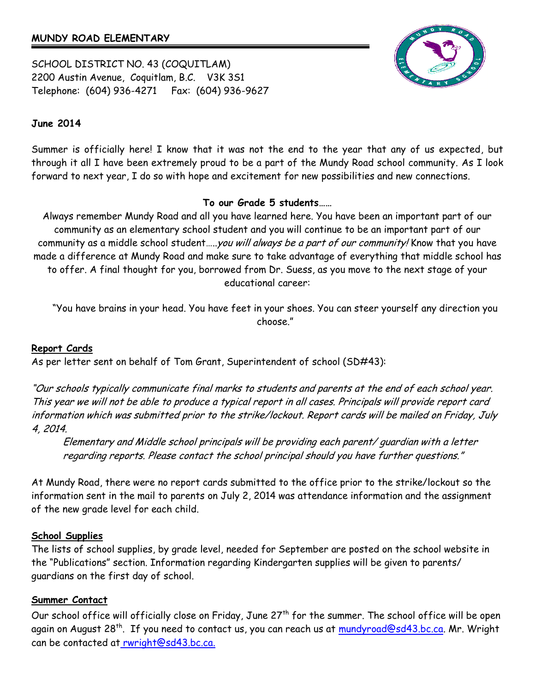## **MUNDY ROAD ELEMENTARY**

SCHOOL DISTRICT NO. 43 (COQUITLAM) 2200 Austin Avenue, Coquitlam, B.C. V3K 3S1 Telephone: (604) 936-4271 Fax: (604) 936-9627



## **June 2014**

Summer is officially here! I know that it was not the end to the year that any of us expected, but through it all I have been extremely proud to be a part of the Mundy Road school community. As I look forward to next year, I do so with hope and excitement for new possibilities and new connections.

## **To our Grade 5 students……**

Always remember Mundy Road and all you have learned here. You have been an important part of our community as an elementary school student and you will continue to be an important part of our community as a middle school student.....you will always be a part of our community! Know that you have made a difference at Mundy Road and make sure to take advantage of everything that middle school has to offer. A final thought for you, borrowed from Dr. Suess, as you move to the next stage of your educational career:

"You have brains in your head. You have feet in your shoes. You can steer yourself any direction you choose."

#### **Report Cards**

As per letter sent on behalf of Tom Grant, Superintendent of school (SD#43):

"Our schools typically communicate final marks to students and parents at the end of each school year. This year we will not be able to produce a typical report in all cases. Principals will provide report card information which was submitted prior to the strike/lockout. Report cards will be mailed on Friday, July 4, 2014.

Elementary and Middle school principals will be providing each parent/ guardian with a letter regarding reports. Please contact the school principal should you have further questions."

At Mundy Road, there were no report cards submitted to the office prior to the strike/lockout so the information sent in the mail to parents on July 2, 2014 was attendance information and the assignment of the new grade level for each child.

#### **School Supplies**

The lists of school supplies, by grade level, needed for September are posted on the school website in the "Publications" section. Information regarding Kindergarten supplies will be given to parents/ guardians on the first day of school.

#### **Summer Contact**

Our school office will officially close on Friday, June 27<sup>th</sup> for the summer. The school office will be open again on August 28<sup>th</sup>. If you need to contact us, you can reach us at [mundyroad@sd43.bc.ca.](mailto:mundyroad@sd43.bc.ca) Mr. Wright can be contacted at rwright@sd43.bc.ca.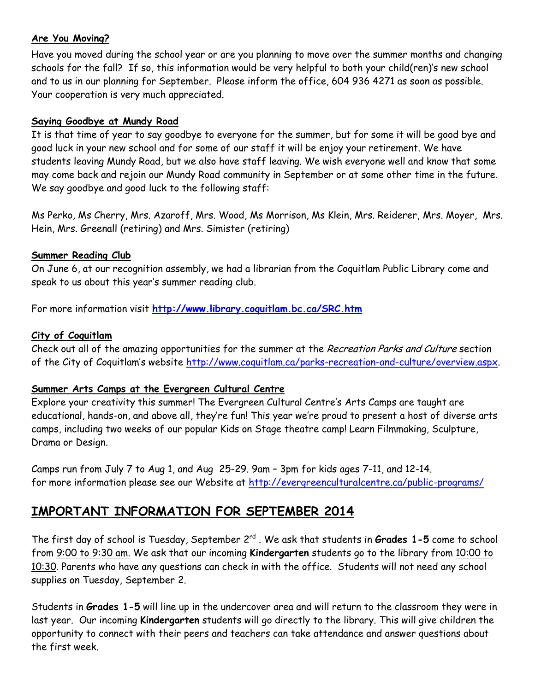# **Are You Moving?**

Have you moved during the school year or are you planning to move over the summer months and changing schools for the fall? If so, this information would be very helpful to both your child(ren)'s new school and to us in our planning for September. Please inform the office, 604 936 4271 as soon as possible. Your cooperation is very much appreciated.

# **Saying Goodbye at Mundy Road**

It is that time of year to say goodbye to everyone for the summer, but for some it will be good bye and good luck in your new school and for some of our staff it will be enjoy your retirement. We have students leaving Mundy Road, but we also have staff leaving. We wish everyone well and know that some may come back and rejoin our Mundy Road community in September or at some other time in the future. We say goodbye and good luck to the following staff:

Ms Perko, Ms Cherry, Mrs. Azaroff, Mrs. Wood, Ms Morrison, Ms Klein, Mrs. Reiderer, Mrs. Moyer, Mrs. Hein, Mrs. Greenall (retiring) and Mrs. Simister (retiring)

## **Summer Reading Club**

On June 6, at our recognition assembly, we had a librarian from the Coquitlam Public Library come and speak to us about this year's summer reading club.

For more information visit **<http://www.library.coquitlam.bc.ca/SRC.htm>**

## **City of Coquitlam**

Check out all of the amazing opportunities for the summer at the Recreation Parks and Culture section of the City of Coquitlam's website [http://www.coquitlam.ca/parks-recreation-and-culture/overview.aspx.](http://www.coquitlam.ca/parks-recreation-and-culture/overview.aspx)

## **Summer Arts Camps at the Evergreen Cultural Centre**

Explore your creativity this summer! The Evergreen Cultural Centre's Arts Camps are taught are educational, hands-on, and above all, they're fun! This year we're proud to present a host of diverse arts camps, including two weeks of our popular Kids on Stage theatre camp! Learn Filmmaking, Sculpture, Drama or Design.

Camps run from July 7 to Aug 1, and Aug 25-29. 9am – 3pm for kids ages 7-11, and 12-14. for more information please see our Website at<http://evergreenculturalcentre.ca/public-programs/>

# **IMPORTANT INFORMATION FOR SEPTEMBER 2014**

The first day of school is Tuesday, September 2 rd . We ask that students in **Grades 1-5** come to school from 9:00 to 9:30 am. We ask that our incoming **Kindergarten** students go to the library from 10:00 to 10:30. Parents who have any questions can check in with the office. Students will not need any school supplies on Tuesday, September 2.

Students in **Grades 1-5** will line up in the undercover area and will return to the classroom they were in last year. Our incoming **Kindergarten** students will go directly to the library. This will give children the opportunity to connect with their peers and teachers can take attendance and answer questions about the first week.